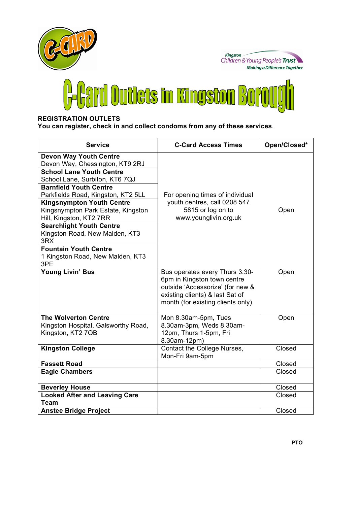

## **REGISTRATION OUTLETS**

**You can register, check in and collect condoms from any of these services**.

| <b>Service</b>                                                                                                                                                                                                                                                                                                                                                                                                                | <b>C-Card Access Times</b>                                                                                                                                                 | Open/Closed* |
|-------------------------------------------------------------------------------------------------------------------------------------------------------------------------------------------------------------------------------------------------------------------------------------------------------------------------------------------------------------------------------------------------------------------------------|----------------------------------------------------------------------------------------------------------------------------------------------------------------------------|--------------|
| <b>Devon Way Youth Centre</b><br>Devon Way, Chessington, KT9 2RJ<br><b>School Lane Youth Centre</b><br>School Lane, Surbiton, KT6 7QJ<br><b>Barnfield Youth Centre</b><br>Parkfields Road, Kingston, KT2 5LL<br><b>Kingsnympton Youth Centre</b><br>Kingsnympton Park Estate, Kingston<br>Hill, Kingston, KT2 7RR<br><b>Searchlight Youth Centre</b><br>Kingston Road, New Malden, KT3<br>3RX<br><b>Fountain Youth Centre</b> | For opening times of individual<br>youth centres, call 0208 547<br>5815 or log on to<br>www.younglivin.org.uk                                                              | Open         |
| 1 Kingston Road, New Malden, KT3<br>3PE                                                                                                                                                                                                                                                                                                                                                                                       |                                                                                                                                                                            |              |
| <b>Young Livin' Bus</b>                                                                                                                                                                                                                                                                                                                                                                                                       | Bus operates every Thurs 3.30-<br>6pm in Kingston town centre<br>outside 'Accessorize' (for new &<br>existing clients) & last Sat of<br>month (for existing clients only). | Open         |
| <b>The Wolverton Centre</b><br>Kingston Hospital, Galsworthy Road,<br>Kingston, KT2 7QB                                                                                                                                                                                                                                                                                                                                       | Mon 8.30am-5pm, Tues<br>8.30am-3pm, Weds 8.30am-<br>12pm, Thurs 1-5pm, Fri<br>8.30am-12pm)                                                                                 | Open         |
| <b>Kingston College</b>                                                                                                                                                                                                                                                                                                                                                                                                       | Contact the College Nurses,<br>Mon-Fri 9am-5pm                                                                                                                             | Closed       |
| <b>Fassett Road</b>                                                                                                                                                                                                                                                                                                                                                                                                           |                                                                                                                                                                            | Closed       |
| <b>Eagle Chambers</b>                                                                                                                                                                                                                                                                                                                                                                                                         |                                                                                                                                                                            | Closed       |
| <b>Beverley House</b>                                                                                                                                                                                                                                                                                                                                                                                                         |                                                                                                                                                                            | Closed       |
| <b>Looked After and Leaving Care</b><br>Team                                                                                                                                                                                                                                                                                                                                                                                  |                                                                                                                                                                            | Closed       |
| <b>Anstee Bridge Project</b>                                                                                                                                                                                                                                                                                                                                                                                                  |                                                                                                                                                                            | Closed       |